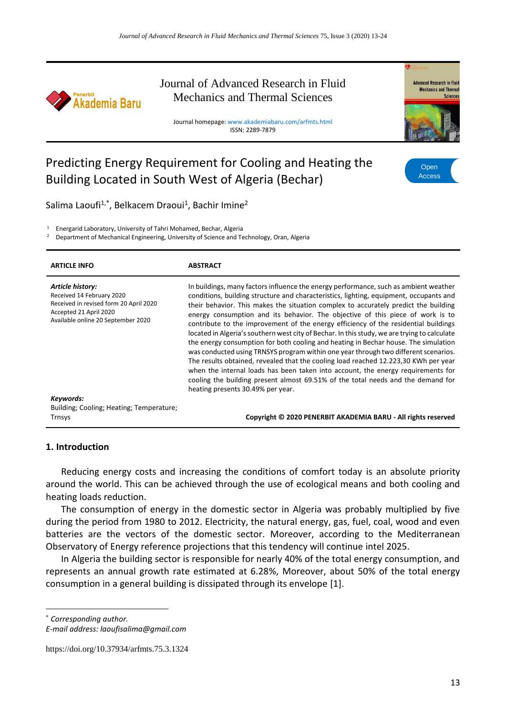

# Journal of Advanced Research in Fluid Mechanics and Thermal Sciences

Journal homepage: www.akademiabaru.com/arfmts.html ISSN: 2289-7879



# Predicting Energy Requirement for Cooling and Heating the Building Located in South West of Algeria (Bechar)



Salima Laoufi<sup>1,\*</sup>, Belkacem Draoui<sup>1</sup>, Bachir Imine<sup>2</sup>

<sup>1</sup> Energarid Laboratory, University of Tahri Mohamed, Bechar, Algeria

<sup>2</sup> Department of Mechanical Engineering, University of Science and Technology, Oran, Algeria

| <b>ARTICLE INFO</b>                                                                                                                                     | <b>ABSTRACT</b>                                                                                                                                                                                                                                                                                                                                                                                                                                                                                                                                                                                                                                                                                                                                                                                                                                                                                                                                                                                                                  |
|---------------------------------------------------------------------------------------------------------------------------------------------------------|----------------------------------------------------------------------------------------------------------------------------------------------------------------------------------------------------------------------------------------------------------------------------------------------------------------------------------------------------------------------------------------------------------------------------------------------------------------------------------------------------------------------------------------------------------------------------------------------------------------------------------------------------------------------------------------------------------------------------------------------------------------------------------------------------------------------------------------------------------------------------------------------------------------------------------------------------------------------------------------------------------------------------------|
| Article history:<br>Received 14 February 2020<br>Received in revised form 20 April 2020<br>Accepted 21 April 2020<br>Available online 20 September 2020 | In buildings, many factors influence the energy performance, such as ambient weather<br>conditions, building structure and characteristics, lighting, equipment, occupants and<br>their behavior. This makes the situation complex to accurately predict the building<br>energy consumption and its behavior. The objective of this piece of work is to<br>contribute to the improvement of the energy efficiency of the residential buildings<br>located in Algeria's southern west city of Bechar. In this study, we are trying to calculate<br>the energy consumption for both cooling and heating in Bechar house. The simulation<br>was conducted using TRNSYS program within one year through two different scenarios.<br>The results obtained, revealed that the cooling load reached 12.223,30 KWh per year<br>when the internal loads has been taken into account, the energy requirements for<br>cooling the building present almost 69.51% of the total needs and the demand for<br>heating presents 30.49% per year. |
| Keywords:                                                                                                                                               |                                                                                                                                                                                                                                                                                                                                                                                                                                                                                                                                                                                                                                                                                                                                                                                                                                                                                                                                                                                                                                  |
| Building; Cooling; Heating; Temperature;                                                                                                                |                                                                                                                                                                                                                                                                                                                                                                                                                                                                                                                                                                                                                                                                                                                                                                                                                                                                                                                                                                                                                                  |
| Trnsys                                                                                                                                                  | Copyright © 2020 PENERBIT AKADEMIA BARU - All rights reserved                                                                                                                                                                                                                                                                                                                                                                                                                                                                                                                                                                                                                                                                                                                                                                                                                                                                                                                                                                    |

#### **1. Introduction**

Reducing energy costs and increasing the conditions of comfort today is an absolute priority around the world. This can be achieved through the use of ecological means and both cooling and heating loads reduction.

The consumption of energy in the domestic sector in Algeria was probably multiplied by five during the period from 1980 to 2012. Electricity, the natural energy, gas, fuel, coal, wood and even batteries are the vectors of the domestic sector. Moreover, according to the Mediterranean Observatory of Energy reference projections that this tendency will continue intel 2025.

In Algeria the building sector is responsible for nearly 40% of the total energy consumption, and represents an annual growth rate estimated at 6.28%, Moreover, about 50% of the total energy consumption in a general building is dissipated through its envelope [1].

**.** 

<sup>\*</sup> *Corresponding author.*

*E-mail address: laoufisalima@gmail.com*

https://doi.org/10.37934/arfmts.75.3.1324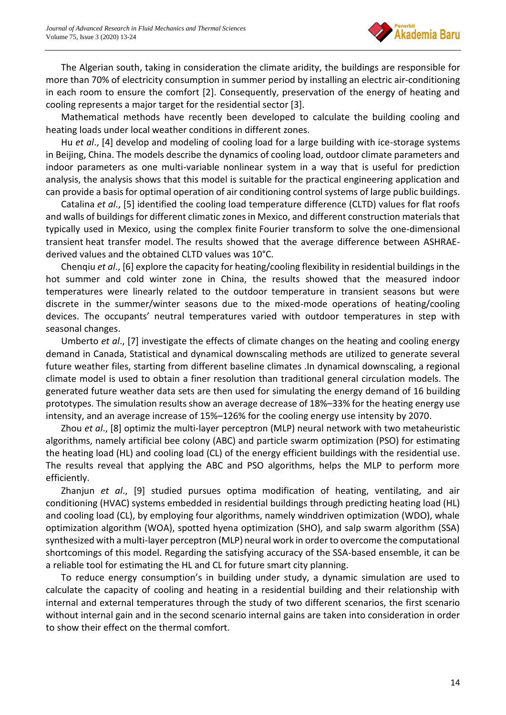

The Algerian south, taking in consideration the climate aridity, the buildings are responsible for more than 70% of electricity consumption in summer period by installing an electric air-conditioning in each room to ensure the comfort [2]. Consequently, preservation of the energy of heating and cooling represents a major target for the residential sector [3].

Mathematical methods have recently been developed to calculate the building cooling and heating loads under local weather conditions in different zones.

Hu *et al*., [4] develop and modeling of cooling load for a large building with ice-storage systems in Beijing, China. The models describe the dynamics of cooling load, outdoor climate parameters and indoor parameters as one multi-variable nonlinear system in a way that is useful for prediction analysis, the analysis shows that this model is suitable for the practical engineering application and can provide a basis for optimal operation of air conditioning control systems of large public buildings.

Catalina *et al*., [5] identified the cooling load temperature difference (CLTD) values for flat roofs and walls of buildings for different climatic zones in Mexico, and different construction materials that typically used in Mexico, using the complex finite [Fourier transform](https://www.sciencedirect.com/topics/engineering/fourier-transform) to solve the one-dimensional transient [heat transfer model.](https://www.sciencedirect.com/topics/engineering/heat-transfer-model) The results showed that the average difference between ASHRAEderived values and the obtained CLTD values was 10°C.

Chenqiu *et al*., [6] explore the capacity for heating/cooling flexibility in residential buildings in the hot summer and cold winter zone in China, the results showed that the measured indoor temperatures were linearly related to the outdoor temperature in transient seasons but were discrete in the summer/winter seasons due to the mixed-mode operations of heating/cooling devices. The occupants' neutral temperatures varied with outdoor temperatures in step with seasonal changes.

Umberto *et al*., [7] investigate the effects of climate changes on the heating and cooling energy demand in Canada, Statistical and dynamical downscaling methods are utilized to generate several future weather files, starting from different baseline climates .In dynamical downscaling, a regional climate model is used to obtain a finer resolution than traditional general circulation models. The generated future weather data sets are then used for simulating the energy demand of 16 building prototypes. The simulation results show an average decrease of 18%–33% for the heating energy use intensity, and an average increase of 15%–126% for the cooling energy use intensity by 2070.

Zhou *et al*., [8] optimiz the multi-layer perceptron (MLP) neural network with two metaheuristic algorithms, namely artificial bee colony (ABC) and particle swarm optimization (PSO) for estimating the heating load (HL) and cooling load (CL) of the energy efficient buildings with the residential use. The results reveal that applying the ABC and PSO algorithms, helps the MLP to perform more efficiently.

Zhanjun *et al*., [9] studied pursues optima modification of heating, ventilating, and air conditioning (HVAC) systems embedded in residential buildings through predicting heating load (HL) and cooling load (CL), by employing four algorithms, namely winddriven optimization (WDO), whale optimization algorithm (WOA), spotted hyena optimization (SHO), and salp swarm algorithm (SSA) synthesized with a multi-layer perceptron (MLP) neural work in order to overcome the computational shortcomings of this model. Regarding the satisfying accuracy of the SSA-based ensemble, it can be a reliable tool for estimating the HL and CL for future smart city planning.

To reduce energy consumption's in building under study, a dynamic simulation are used to calculate the capacity of cooling and heating in a residential building and their relationship with internal and external temperatures through the study of two different scenarios, the first scenario without internal gain and in the second scenario internal gains are taken into consideration in order to show their effect on the thermal comfort.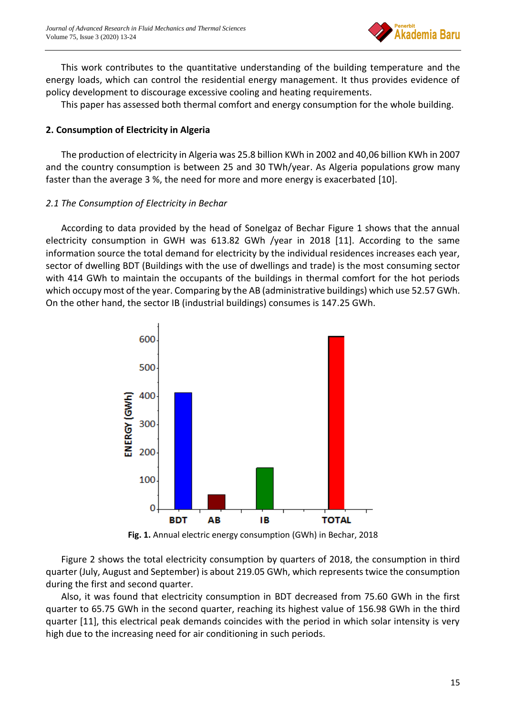

This work contributes to the quantitative understanding of the building temperature and the energy loads, which can control the residential energy management. It thus provides evidence of policy development to discourage excessive cooling and heating requirements.

This paper has assessed both thermal comfort and energy consumption for the whole building.

# **2. Consumption of Electricity in Algeria**

The production of electricity in Algeria was 25.8 billion KWh in 2002 and 40,06 billion KWh in 2007 and the country consumption is between 25 and 30 TWh/year. As Algeria populations grow many faster than the average 3 %, the need for more and more energy is exacerbated [10].

# *2.1 The Consumption of Electricity in Bechar*

According to data provided by the head of Sonelgaz of Bechar Figure 1 shows that the annual electricity consumption in GWH was 613.82 GWh /year in 2018 [11]. According to the same information source the total demand for electricity by the individual residences increases each year, sector of dwelling BDT (Buildings with the use of dwellings and trade) is the most consuming sector with 414 GWh to maintain the occupants of the buildings in thermal comfort for the hot periods which occupy most of the year. Comparing by the AB (administrative buildings) which use 52.57 GWh. On the other hand, the sector IB (industrial buildings) consumes is 147.25 GWh.



**Fig. 1.** Annual electric energy consumption (GWh) in Bechar, 2018

Figure 2 shows the total electricity consumption by quarters of 2018, the consumption in third quarter (July, August and September) is about 219.05 GWh, which represents twice the consumption during the first and second quarter.

Also, it was found that electricity consumption in BDT decreased from 75.60 GWh in the first quarter to 65.75 GWh in the second quarter, reaching its highest value of 156.98 GWh in the third quarter [11], this electrical peak demands coincides with the period in which solar intensity is very high due to the increasing need for air conditioning in such periods.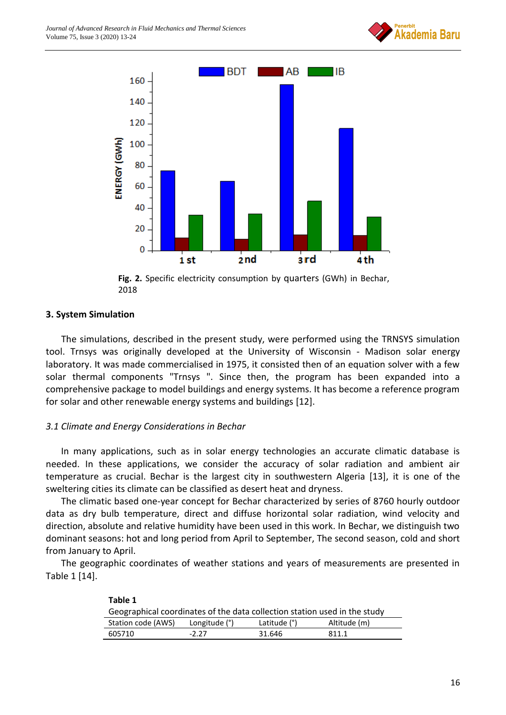



**Fig. 2.** Specific electricity consumption by quarters (GWh) in Bechar, 2018

# **3. System Simulation**

The simulations, described in the present study, were performed using the TRNSYS simulation tool. Trnsys was originally developed at the University of Wisconsin - Madison solar energy laboratory. It was made commercialised in 1975, it consisted then of an equation solver with a few solar thermal components "Trnsys ". Since then, the program has been expanded into a comprehensive package to model buildings and energy systems. It has become a reference program for solar and other renewable energy systems and buildings [12].

# *3.1 Climate and Energy Considerations in Bechar*

In many applications, such as in solar energy technologies an accurate climatic database is needed. In these applications, we consider the accuracy of solar radiation and ambient air temperature as crucial. Bechar is the largest city in southwestern Algeria [13], it is one of the sweltering cities its climate can be classified as desert heat and dryness.

The climatic based one-year concept for Bechar characterized by series of 8760 hourly outdoor data as dry bulb temperature, direct and diffuse horizontal solar radiation, wind velocity and direction, absolute and relative humidity have been used in this work. In Bechar, we distinguish two dominant seasons: hot and long period from April to September, The second season, cold and short from January to April.

The geographic coordinates of weather stations and years of measurements are presented in Table 1 [14].

| Table 1                                                                   |               |              |              |  |  |  |
|---------------------------------------------------------------------------|---------------|--------------|--------------|--|--|--|
| Geographical coordinates of the data collection station used in the study |               |              |              |  |  |  |
| Station code (AWS)                                                        | Longitude (°) | Latitude (°) | Altitude (m) |  |  |  |
| 605710                                                                    | -2 27         | 31.646       | 8111         |  |  |  |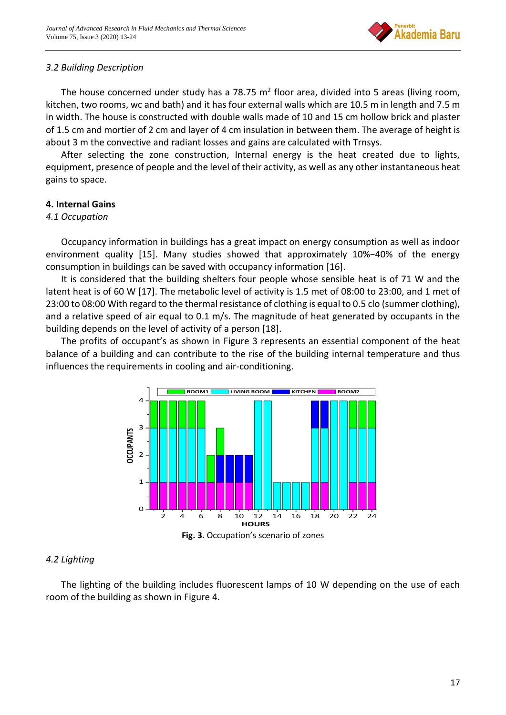

# *3.2 Building Description*

The house concerned under study has a 78.75  $m^2$  floor area, divided into 5 areas (living room, kitchen, two rooms, wc and bath) and it has four external walls which are 10.5 m in length and 7.5 m in width. The house is constructed with double walls made of 10 and 15 cm hollow brick and plaster of 1.5 cm and mortier of 2 cm and layer of 4 cm insulation in between them. The average of height is about 3 m the convective and radiant losses and gains are calculated with Trnsys.

After selecting the zone construction, Internal energy is the heat created due to lights, equipment, presence of people and the level of their activity, as well as any other instantaneous heat gains to space.

# **4. Internal Gains**

#### *4.1 Occupation*

Occupancy information in buildings has a great impact on energy consumption as well as indoor environment quality [15]. Many studies showed that approximately 10%−40% of the energy consumption in buildings can be saved with occupancy information [16].

It is considered that the building shelters four people whose sensible heat is of 71 W and the latent heat is of 60 W [17]. The metabolic level of activity is 1.5 met of 08:00 to 23:00, and 1 met of 23:00 to 08:00 With regard to the thermal resistance of clothing is equal to 0.5 clo (summer clothing), and a relative speed of air equal to 0.1 m/s. The magnitude of heat generated by occupants in the building depends on the level of activity of a person [18].

The profits of occupant's as shown in Figure 3 represents an essential component of the heat balance of a building and can contribute to the rise of the building internal temperature and thus influences the requirements in cooling and air-conditioning.



#### *4.2 Lighting*

The lighting of the building includes fluorescent lamps of 10 W depending on the use of each room of the building as shown in Figure 4.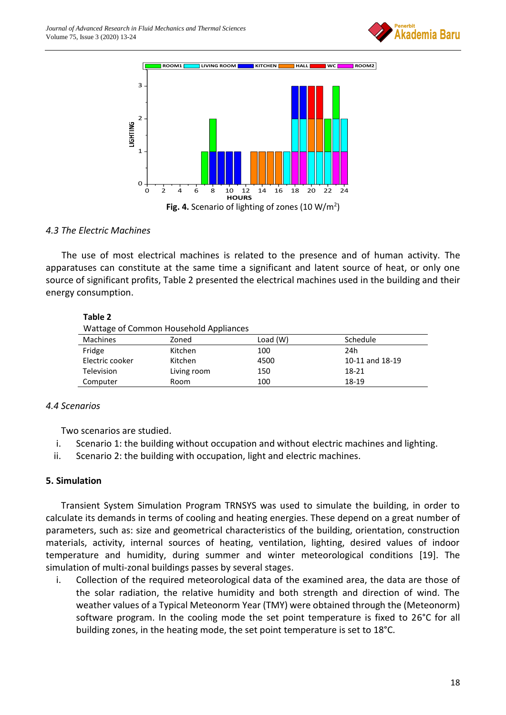



#### *4.3 The Electric Machines*

The use of most electrical machines is related to the presence and of human activity. The apparatuses can constitute at the same time a significant and latent source of heat, or only one source of significant profits, Table 2 presented the electrical machines used in the building and their energy consumption.

#### **Table 2**

| <b>Tractage of common rioaschold rippilances</b> |             |            |                 |  |  |
|--------------------------------------------------|-------------|------------|-----------------|--|--|
| <b>Machines</b>                                  | Zoned       | Load $(W)$ | Schedule        |  |  |
| Fridge                                           | Kitchen     | 100        | 24h             |  |  |
| Electric cooker                                  | Kitchen     | 4500       | 10-11 and 18-19 |  |  |
| <b>Television</b>                                | Living room | 150        | 18-21           |  |  |
| Computer                                         | Room        | 100        | 18-19           |  |  |
|                                                  |             |            |                 |  |  |

#### *4.4 Scenarios*

Two scenarios are studied.

- i. Scenario 1: the building without occupation and without electric machines and lighting.
- ii. Scenario 2: the building with occupation, light and electric machines.

#### **5. Simulation**

Transient System Simulation Program TRNSYS was used to simulate the building, in order to calculate its demands in terms of cooling and heating energies. These depend on a great number of parameters, such as: size and geometrical characteristics of the building, orientation, construction materials, activity, internal sources of heating, ventilation, lighting, desired values of indoor temperature and humidity, during summer and winter meteorological conditions [19]. The simulation of multi-zonal buildings passes by several stages.

i. Collection of the required meteorological data of the examined area, the data are those of the solar radiation, the relative humidity and both strength and direction of wind. The weather values of a Typical Meteonorm Year (TMY) were obtained through the (Meteonorm) software program. In the cooling mode the set point temperature is fixed to 26°C for all building zones, in the heating mode, the set point temperature is set to 18°C.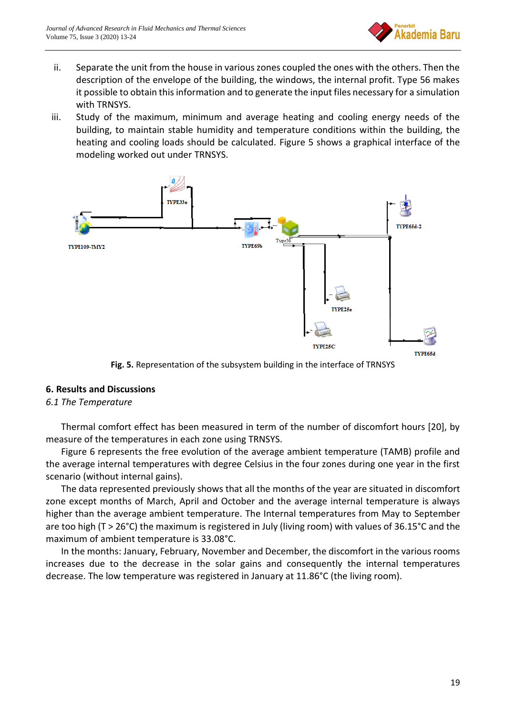

- ii. Separate the unit from the house in various zones coupled the ones with the others. Then the description of the envelope of the building, the windows, the internal profit. Type 56 makes it possible to obtain this information and to generate the input files necessary for a simulation with TRNSYS.
- iii. Study of the maximum, minimum and average heating and cooling energy needs of the building, to maintain stable humidity and temperature conditions within the building, the heating and cooling loads should be calculated. Figure 5 shows a graphical interface of the modeling worked out under TRNSYS.



**Fig. 5.** Representation of the subsystem building in the interface of TRNSYS

#### **6. Results and Discussions**

#### *6.1 The Temperature*

Thermal comfort effect has been measured in term of the number of discomfort hours [20], by measure of the temperatures in each zone using TRNSYS.

Figure 6 represents the free evolution of the average ambient temperature (TAMB) profile and the average internal temperatures with degree Celsius in the four zones during one year in the first scenario (without internal gains).

The data represented previously shows that all the months of the year are situated in discomfort zone except months of March, April and October and the average internal temperature is always higher than the average ambient temperature. The Internal temperatures from May to September are too high (T > 26°C) the maximum is registered in July (living room) with values of 36.15°C and the maximum of ambient temperature is 33.08°C.

In the months: January, February, November and December, the discomfort in the various rooms increases due to the decrease in the solar gains and consequently the internal temperatures decrease. The low temperature was registered in January at 11.86°C (the living room).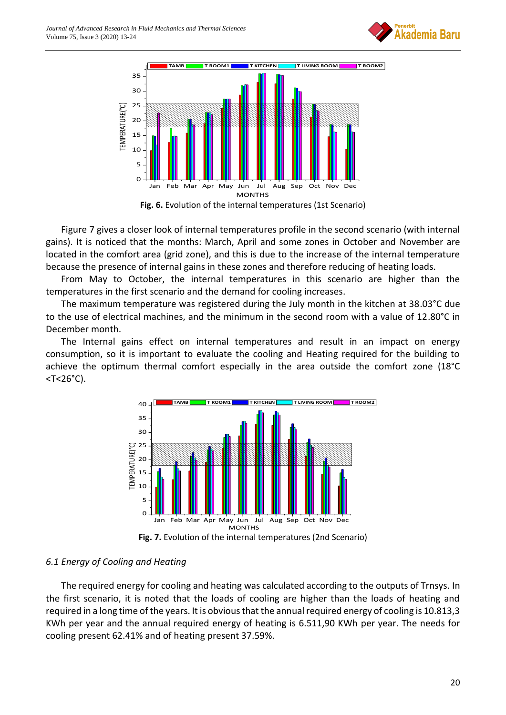



Figure 7 gives a closer look of internal temperatures profile in the second scenario (with internal gains). It is noticed that the months: March, April and some zones in October and November are located in the comfort area (grid zone), and this is due to the increase of the internal temperature because the presence of internal gains in these zones and therefore reducing of heating loads.

From May to October, the internal temperatures in this scenario are higher than the temperatures in the first scenario and the demand for cooling increases.

The maximum temperature was registered during the July month in the kitchen at 38.03°C due to the use of electrical machines, and the minimum in the second room with a value of 12.80°C in December month.

The Internal gains effect on internal temperatures and result in an impact on energy consumption, so it is important to evaluate the cooling and Heating required for the building to achieve the optimum thermal comfort especially in the area outside the comfort zone (18°C <T<26°C).



**Fig. 7.** Evolution of the internal temperatures (2nd Scenario)

# *6.1 Energy of Cooling and Heating*

The required energy for cooling and heating was calculated according to the outputs of Trnsys. In the first scenario, it is noted that the loads of cooling are higher than the loads of heating and required in a long time of the years. It is obvious that the annual required energy of cooling is 10.813,3 KWh per year and the annual required energy of heating is 6.511,90 KWh per year. The needs for cooling present 62.41% and of heating present 37.59%.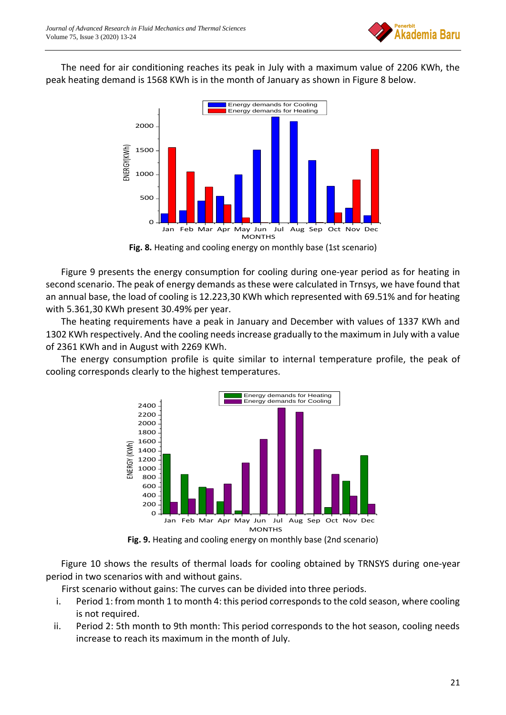

The need for air conditioning reaches its peak in July with a maximum value of 2206 KWh, the peak heating demand is 1568 KWh is in the month of January as shown in Figure 8 below.



**Fig. 8.** Heating and cooling energy on monthly base (1st scenario)

Figure 9 presents the energy consumption for cooling during one-year period as for heating in second scenario. The peak of energy demands as these were calculated in Trnsys, we have found that an annual base, the load of cooling is 12.223,30 KWh which represented with 69.51% and for heating with 5.361,30 KWh present 30.49% per year.

The heating requirements have a peak in January and December with values of 1337 KWh and 1302 KWh respectively. And the cooling needs increase gradually to the maximum in July with a value of 2361 KWh and in August with 2269 KWh.

The energy consumption profile is quite similar to internal temperature profile, the peak of cooling corresponds clearly to the highest temperatures.



**Fig. 9.** Heating and cooling energy on monthly base (2nd scenario)

Figure 10 shows the results of thermal loads for cooling obtained by TRNSYS during one-year period in two scenarios with and without gains.

First scenario without gains: The curves can be divided into three periods.

- i. Period 1: from month 1 to month 4: this period corresponds to the cold season, where cooling is not required.
- ii. Period 2: 5th month to 9th month: This period corresponds to the hot season, cooling needs increase to reach its maximum in the month of July.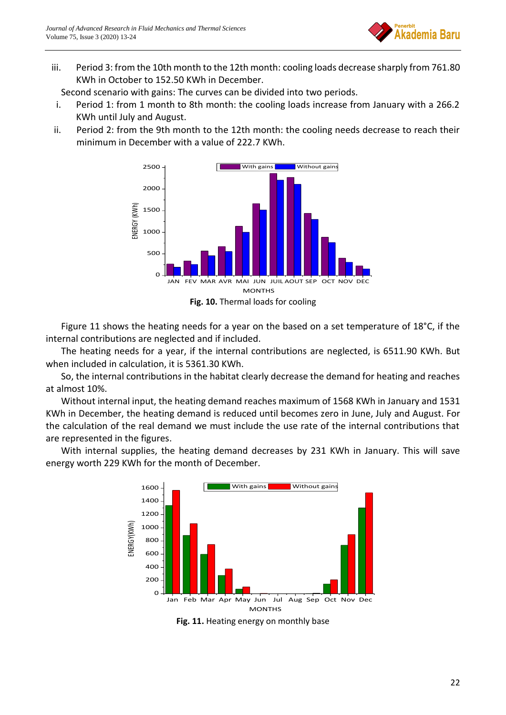

iii. Period 3: from the 10th month to the 12th month: cooling loads decrease sharply from 761.80 KWh in October to 152.50 KWh in December.

Second scenario with gains: The curves can be divided into two periods.

- i. Period 1: from 1 month to 8th month: the cooling loads increase from January with a 266.2 KWh until July and August.
- ii. Period 2: from the 9th month to the 12th month: the cooling needs decrease to reach their minimum in December with a value of 222.7 KWh.





Figure 11 shows the heating needs for a year on the based on a set temperature of 18°C, if the internal contributions are neglected and if included.

The heating needs for a year, if the internal contributions are neglected, is 6511.90 KWh. But when included in calculation, it is 5361.30 KWh.

So, the internal contributions in the habitat clearly decrease the demand for heating and reaches at almost 10%.

Without internal input, the heating demand reaches maximum of 1568 KWh in January and 1531 KWh in December, the heating demand is reduced until becomes zero in June, July and August. For the calculation of the real demand we must include the use rate of the internal contributions that are represented in the figures.

With internal supplies, the heating demand decreases by 231 KWh in January. This will save energy worth 229 KWh for the month of December.



**Fig. 11.** Heating energy on monthly base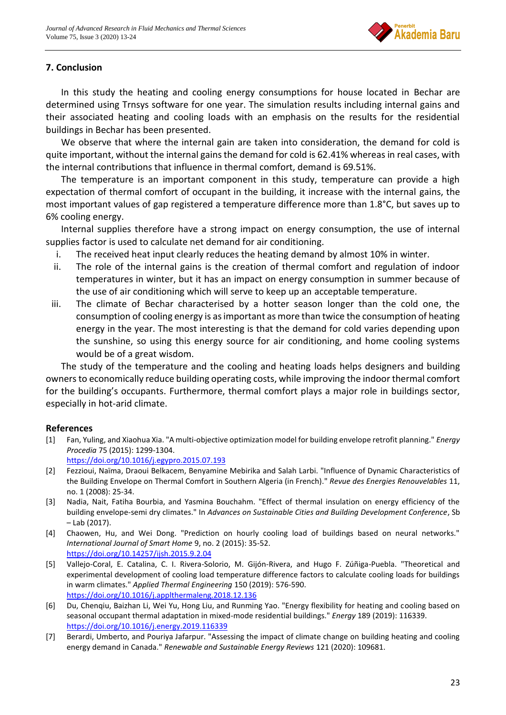

# **7. Conclusion**

In this study the heating and cooling energy consumptions for house located in Bechar are determined using Trnsys software for one year. The simulation results including internal gains and their associated heating and cooling loads with an emphasis on the results for the residential buildings in Bechar has been presented.

We observe that where the internal gain are taken into consideration, the demand for cold is quite important, without the internal gains the demand for cold is 62.41% whereas in real cases, with the internal contributions that influence in thermal comfort, demand is 69.51%.

The temperature is an important component in this study, temperature can provide a high expectation of thermal comfort of occupant in the building, it increase with the internal gains, the most important values of gap registered a temperature difference more than 1.8°C, but saves up to 6% cooling energy.

Internal supplies therefore have a strong impact on energy consumption, the use of internal supplies factor is used to calculate net demand for air conditioning.

- i. The received heat input clearly reduces the heating demand by almost 10% in winter.
- ii. The role of the internal gains is the creation of thermal comfort and regulation of indoor temperatures in winter, but it has an impact on energy consumption in summer because of the use of air conditioning which will serve to keep up an acceptable temperature.
- iii. The climate of Bechar characterised by a hotter season longer than the cold one, the consumption of cooling energy is as important as more than twice the consumption of heating energy in the year. The most interesting is that the demand for cold varies depending upon the sunshine, so using this energy source for air conditioning, and home cooling systems would be of a great wisdom.

The study of the temperature and the cooling and heating loads helps designers and building owners to economically reduce building operating costs, while improving the indoor thermal comfort for the building's occupants. Furthermore, thermal comfort plays a major role in buildings sector, especially in hot-arid climate.

# **References**

[1] Fan, Yuling, and Xiaohua Xia. "A multi-objective optimization model for building envelope retrofit planning." *Energy Procedia* 75 (2015): 1299-1304.

<https://doi.org/10.1016/j.egypro.2015.07.193>

- [2] Fezzioui, Naïma, Draoui Belkacem, Benyamine Mebirika and Salah Larbi. "Influence of Dynamic Characteristics of the Building Envelope on Thermal Comfort in Southern Algeria (in French)." *Revue des Energies Renouvelables* 11, no. 1 (2008): 25-34.
- [3] Nadia, Nait, Fatiha Bourbia, and Yasmina Bouchahm. "Effect of thermal insulation on energy efficiency of the building envelope-semi dry climates." In *Advances on Sustainable Cities and Building Development Conference*, Sb – Lab (2017).
- [4] Chaowen, Hu, and Wei Dong. "Prediction on hourly cooling load of buildings based on neural networks." *International Journal of Smart Home* 9, no. 2 (2015): 35-52. <https://doi.org/10.14257/ijsh.2015.9.2.04>
- [5] Vallejo-Coral, E. Catalina, C. I. Rivera-Solorio, M. Gijón-Rivera, and Hugo F. Zúñiga-Puebla. "Theoretical and experimental development of cooling load temperature difference factors to calculate cooling loads for buildings in warm climates." *Applied Thermal Engineering* 150 (2019): 576-590. <https://doi.org/10.1016/j.applthermaleng.2018.12.136>
- [6] Du, Chenqiu, Baizhan Li, Wei Yu, Hong Liu, and Runming Yao. "Energy flexibility for heating and cooling based on seasonal occupant thermal adaptation in mixed-mode residential buildings." *Energy* 189 (2019): 116339. <https://doi.org/10.1016/j.energy.2019.116339>
- [7] Berardi, Umberto, and Pouriya Jafarpur. "Assessing the impact of climate change on building heating and cooling energy demand in Canada." *Renewable and Sustainable Energy Reviews* 121 (2020): 109681.